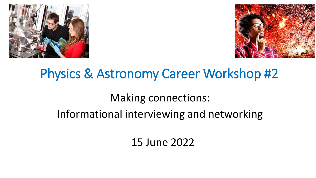



# Physics & Astronomy Career Workshop #2

## Making connections:

## Informational interviewing and networking

## 15 June 2022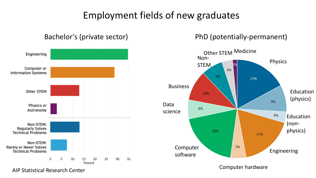## Employment fields of new graduates





AIP Statistical Research Center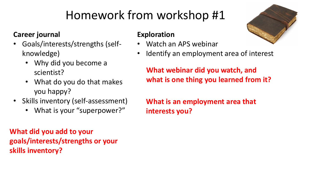# Homework from workshop #1

#### **Career journal**

- Goals/interests/strengths (selfknowledge)
	- Why did you become a scientist?
	- What do you do that makes you happy?
- Skills inventory (self-assessment)
	- What is your "superpower?"

**What did you add to your goals/interests/strengths or your skills inventory?**

#### **Exploration**

- Watch an APS webinar
- Identify an employment area of interest

**What webinar did you watch, and what is one thing you learned from it?**

**What is an employment area that interests you?**

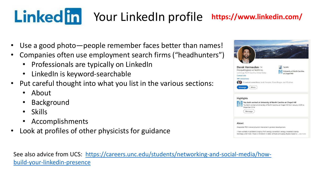### Linked in Your Linked In profile **https://www.linkedin.com/**

- Use a good photo—people remember faces better than names!
- Companies often use employment search firms ("headhunters")
	- Professionals are typically on LinkedIn
	- LinkedIn is keyword-searchable
- Put careful thought into what you list in the various sections:
	- About
	- Background
	- Skills
	- Accomplishments
- Look at profiles of other physicists for guidance

| Derek Vermeulen 1st<br>Principal Engineer at TechFit Inc.<br>La Grange, North Carolina, United States .<br>Contact info<br>199 connections<br>15 mutual connections: Jacob Forstater, Shane Brogan, and 13 others<br>Message<br>More | TechFit<br>University of North Carolina<br>at Chapel Hill      |
|--------------------------------------------------------------------------------------------------------------------------------------------------------------------------------------------------------------------------------------|----------------------------------------------------------------|
| Highlights                                                                                                                                                                                                                           | You both worked at University of North Carolina at Chapel Hill |
| You both worked at University of North Carolina at Chapel Hill from January 2009 to<br>December 2014<br>Message                                                                                                                      |                                                                |

[See also advice from UCS: https://careers.unc.edu/students/networking-and-social-media/how](https://careers.unc.edu/students/networking-and-social-media/how-build-your-linkedin-presence)build-your-linkedin-presence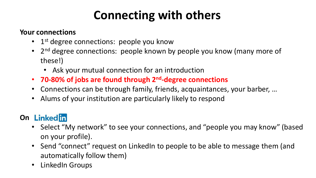## **Connecting with others**

#### **Your connections**

- 1<sup>st</sup> degree connections: people you know
- 2<sup>nd</sup> degree connections: people known by people you know (many more of these!)
	- Ask your mutual connection for an introduction
- **70-80% of jobs are found through 2nd-degree connections**
- Connections can be through family, friends, acquaintances, your barber, …
- Alums of your institution are particularly likely to respond

### **On Linked in**

- Select "My network" to see your connections, and "people you may know" (based on your profile).
- Send "connect" request on LinkedIn to people to be able to message them (and automatically follow them)
- LinkedIn Groups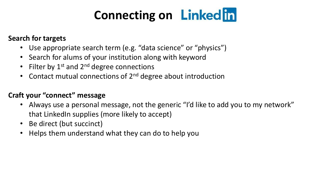# **Connecting on Linked in**

#### **Search for targets**

- Use appropriate search term (e.g. "data science" or "physics")
- Search for alums of your institution along with keyword
- Filter by  $1^{st}$  and  $2^{nd}$  degree connections
- Contact mutual connections of 2<sup>nd</sup> degree about introduction

#### **Craft your "connect" message**

- Always use a personal message, not the generic "I'd like to add you to my network" that LinkedIn supplies (more likely to accept)
- Be direct (but succinct)
- Helps them understand what they can do to help you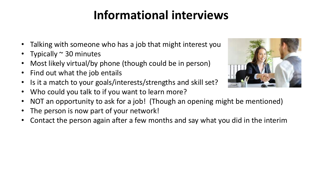## **Informational interviews**

- Talking with someone who has a job that might interest you
- Typically  $\sim$  30 minutes
- Most likely virtual/by phone (though could be in person)
- Find out what the job entails
- Is it a match to your goals/interests/strengths and skill set?
- Who could you talk to if you want to learn more?
- NOT an opportunity to ask for a job! (Though an opening might be mentioned)
- The person is now part of your network!
- Contact the person again after a few months and say what you did in the interim

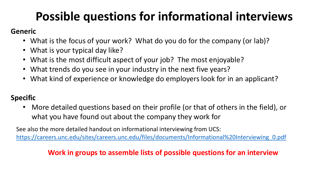## **Possible questions for informational interviews**

#### **Generic**

- What is the focus of your work? What do you do for the company (or lab)?
- What is your typical day like?
- What is the most difficult aspect of your job? The most enjoyable?
- What trends do you see in your industry in the next five years?
- What kind of experience or knowledge do employers look for in an applicant?

#### **Specific**

• More detailed questions based on their profile (or that of others in the field), or what you have found out about the company they work for

See also the more detailed handout on informational interviewing from UCS: [https://careers.unc.edu/sites/careers.unc.edu/files/documents/Informational%20Interviewing\\_0.pdf](https://careers.unc.edu/sites/careers.unc.edu/files/documents/Informational%20Interviewing_0.pdf)

#### **Work in groups to assemble lists of possible questions for an interview**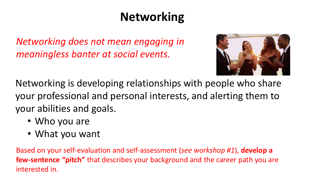# **Networking**

*Networking does not mean engaging in meaningless banter at social events.* 



Networking is developing relationships with people who share your professional and personal interests, and alerting them to your abilities and goals.

- Who you are
- What you want

Based on your self-evaluation and self-assessment (*see workshop #1*), **develop a few-sentence "pitch"** that describes your background and the career path you are interested in.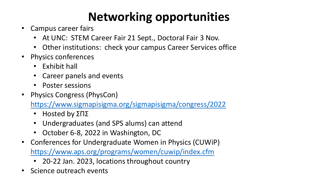# **Networking opportunities**

- Campus career fairs
	- At UNC: STEM Career Fair 21 Sept., Doctoral Fair 3 Nov.
	- Other institutions: check your campus Career Services office
- Physics conferences
	- Exhibit hall
	- Career panels and events
	- Poster sessions
- Physics Congress (PhysCon)

<https://www.sigmapisigma.org/sigmapisigma/congress/2022>

- Hosted by ΣΠΣ
- Undergraduates (and SPS alums) can attend
- October 6-8, 2022 in Washington, DC
- Conferences for Undergraduate Women in Physics (CUWiP) <https://www.aps.org/programs/women/cuwip/index.cfm>
	- 20-22 Jan. 2023, locations throughout country
- Science outreach events